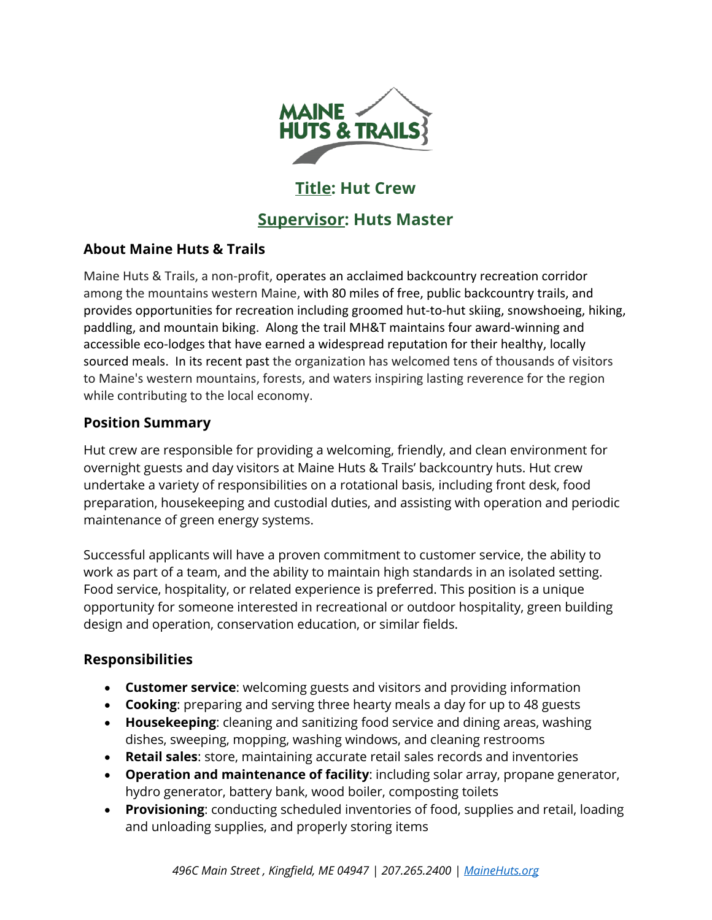

# **Title: Hut Crew**

# **Supervisor: Huts Master**

# **About Maine Huts & Trails**

Maine Huts & Trails, a non-profit, operates an acclaimed backcountry recreation corridor among the mountains western Maine, with 80 miles of free, public backcountry trails, and provides opportunities for recreation including groomed hut-to-hut skiing, snowshoeing, hiking, paddling, and mountain biking. Along the trail MH&T maintains four award-winning and accessible eco-lodges that have earned a widespread reputation for their healthy, locally sourced meals. In its recent past the organization has welcomed tens of thousands of visitors to Maine's western mountains, forests, and waters inspiring lasting reverence for the region while contributing to the local economy.

# **Position Summary**

Hut crew are responsible for providing a welcoming, friendly, and clean environment for overnight guests and day visitors at Maine Huts & Trails' backcountry huts. Hut crew undertake a variety of responsibilities on a rotational basis, including front desk, food preparation, housekeeping and custodial duties, and assisting with operation and periodic maintenance of green energy systems.

Successful applicants will have a proven commitment to customer service, the ability to work as part of a team, and the ability to maintain high standards in an isolated setting. Food service, hospitality, or related experience is preferred. This position is a unique opportunity for someone interested in recreational or outdoor hospitality, green building design and operation, conservation education, or similar fields.

# **Responsibilities**

- **Customer service**: welcoming guests and visitors and providing information
- **Cooking**: preparing and serving three hearty meals a day for up to 48 guests
- **Housekeeping**: cleaning and sanitizing food service and dining areas, washing dishes, sweeping, mopping, washing windows, and cleaning restrooms
- **Retail sales**: store, maintaining accurate retail sales records and inventories
- **Operation and maintenance of facility**: including solar array, propane generator, hydro generator, battery bank, wood boiler, composting toilets
- **Provisioning**: conducting scheduled inventories of food, supplies and retail, loading and unloading supplies, and properly storing items